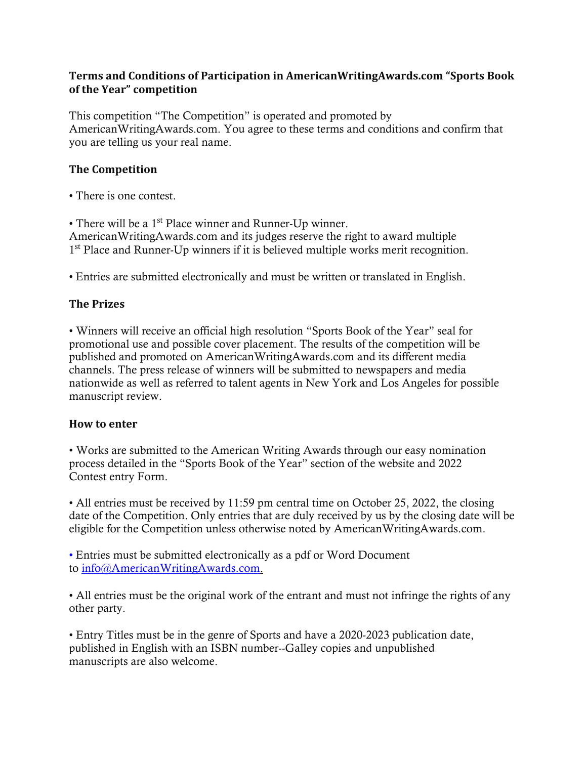### **Terms and Conditions of Participation in AmericanWritingAwards.com "Sports Book of the Year" competition**

This competition "The Competition" is operated and promoted by AmericanWritingAwards.com. You agree to these terms and conditions and confirm that you are telling us your real name.

## **The Competition**

• There is one contest.

• There will be a 1<sup>st</sup> Place winner and Runner-Up winner.

AmericanWritingAwards.com and its judges reserve the right to award multiple 1<sup>st</sup> Place and Runner-Up winners if it is believed multiple works merit recognition.

• Entries are submitted electronically and must be written or translated in English.

## **The Prizes**

• Winners will receive an official high resolution "Sports Book of the Year" seal for promotional use and possible cover placement. The results of the competition will be published and promoted on AmericanWritingAwards.com and its different media channels. The press release of winners will be submitted to newspapers and media nationwide as well as referred to talent agents in New York and Los Angeles for possible manuscript review.

#### **How to enter**

• Works are submitted to the American Writing Awards through our easy nomination process detailed in the "Sports Book of the Year" section of the website and 2022 Contest entry Form.

• All entries must be received by 11:59 pm central time on October 25, 2022, the closing date of the Competition. Only entries that are duly received by us by the closing date will be eligible for the Competition unless otherwise noted by AmericanWritingAwards.com.

• Entries must be submitted electronically as a pdf or Word Document to [info@AmericanWritingAwards.com.](mailto:info@AmericanWritingAwards.com)

• All entries must be the original work of the entrant and must not infringe the rights of any other party.

• Entry Titles must be in the genre of Sports and have a 2020-2023 publication date, published in English with an ISBN number--Galley copies and unpublished manuscripts are also welcome.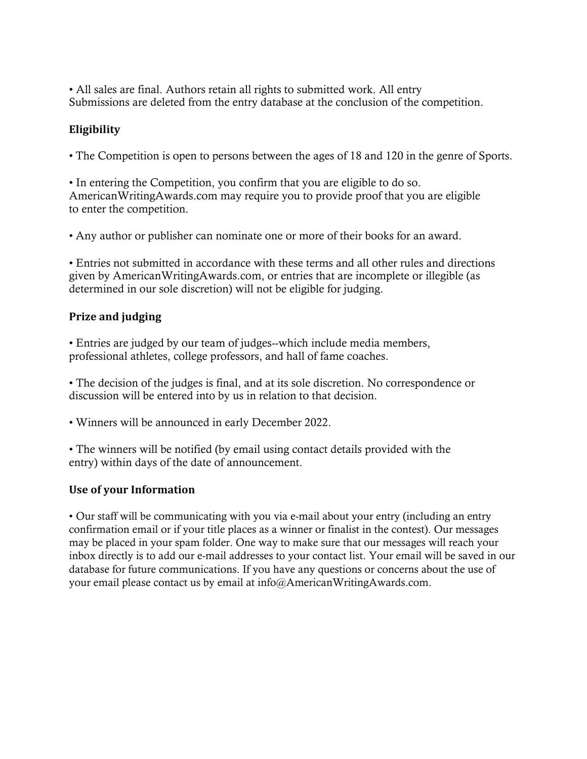• All sales are final. Authors retain all rights to submitted work. All entry Submissions are deleted from the entry database at the conclusion of the competition.

# **Eligibility**

• The Competition is open to persons between the ages of 18 and 120 in the genre of Sports.

• In entering the Competition, you confirm that you are eligible to do so. AmericanWritingAwards.com may require you to provide proof that you are eligible to enter the competition.

• Any author or publisher can nominate one or more of their books for an award.

• Entries not submitted in accordance with these terms and all other rules and directions given by AmericanWritingAwards.com, or entries that are incomplete or illegible (as determined in our sole discretion) will not be eligible for judging.

## **Prize and judging**

• Entries are judged by our team of judges--which include media members, professional athletes, college professors, and hall of fame coaches.

• The decision of the judges is final, and at its sole discretion. No correspondence or discussion will be entered into by us in relation to that decision.

• Winners will be announced in early December 2022.

• The winners will be notified (by email using contact details provided with the entry) within days of the date of announcement.

## **Use of your Information**

• Our staff will be communicating with you via e-mail about your entry (including an entry confirmation email or if your title places as a winner or finalist in the contest). Our messages may be placed in your spam folder. One way to make sure that our messages will reach your inbox directly is to add our e-mail addresses to your contact list. Your email will be saved in our database for future communications. If you have any questions or concerns about the use of your email please contact us by email at info@AmericanWritingAwards.com.